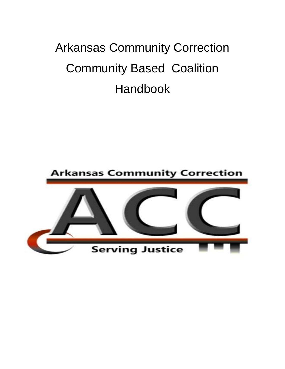# Arkansas Community Correction Community Based Coalition Handbook

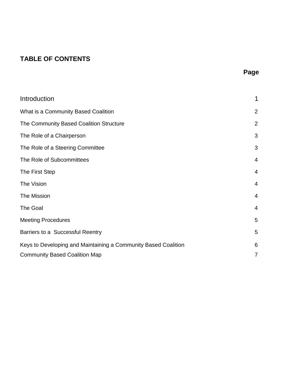# **TABLE OF CONTENTS**

| Introduction                                                   | 1              |
|----------------------------------------------------------------|----------------|
| What is a Community Based Coalition                            | $\overline{2}$ |
| The Community Based Coalition Structure                        | $\overline{2}$ |
| The Role of a Chairperson                                      | 3              |
| The Role of a Steering Committee                               | 3              |
| The Role of Subcommittees                                      | $\overline{4}$ |
| The First Step                                                 | 4              |
| The Vision                                                     | $\overline{4}$ |
| The Mission                                                    | $\overline{4}$ |
| The Goal                                                       | $\overline{4}$ |
| <b>Meeting Procedures</b>                                      | 5              |
| Barriers to a Successful Reentry                               | 5              |
| Keys to Developing and Maintaining a Community Based Coalition | 6              |
| <b>Community Based Coalition Map</b>                           | 7              |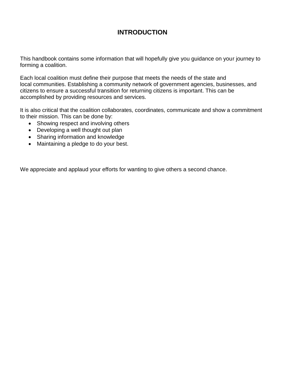## **INTRODUCTION**

This handbook contains some information that will hopefully give you guidance on your journey to forming a coalition.

Each local coalition must define their purpose that meets the needs of the state and local communities. Establishing a community network of government agencies, businesses, and citizens to ensure a successful transition for returning citizens is important. This can be accomplished by providing resources and services.

It is also critical that the coalition collaborates, coordinates, communicate and show a commitment to their mission. This can be done by:

- Showing respect and involving others
- Developing a well thought out plan
- Sharing information and knowledge
- Maintaining a pledge to do your best.

We appreciate and applaud your efforts for wanting to give others a second chance.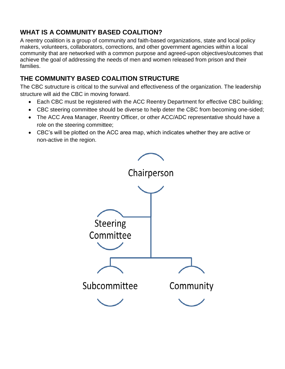# **WHAT IS A COMMUNITY BASED COALITION?**

A reentry coalition is a group of community and faith-based organizations, state and local policy makers, volunteers, collaborators, corrections, and other government agencies within a local community that are networked with a common purpose and agreed-upon objectives/outcomes that achieve the goal of addressing the needs of men and women released from prison and their families.

# **THE COMMUNITY BASED COALITION STRUCTURE**

The CBC sutructure is critical to the survival and effectiveness of the organization. The leadership structure will aid the CBC in moving forward.

- Each CBC must be registered with the ACC Reentry Department for effective CBC building;
- CBC steering committee should be diverse to help deter the CBC from becoming one-sided;
- The ACC Area Manager, Reentry Officer, or other ACC/ADC representative should have a role on the steering committee;
- CBC's will be plotted on the ACC area map, which indicates whether they are active or non-active in the region.

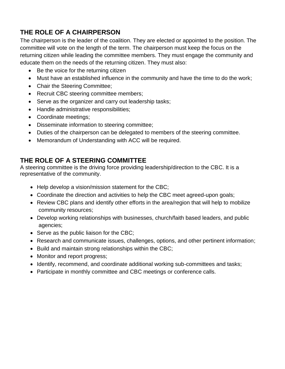# **THE ROLE OF A CHAIRPERSON**

The chairperson is the leader of the coalition. They are elected or appointed to the position. The committee will vote on the length of the term. The chairperson must keep the focus on the returning citizen while leading the committee members. They must engage the community and educate them on the needs of the returning citizen. They must also:

- Be the voice for the returning citizen
- Must have an established influence in the community and have the time to do the work;
- Chair the Steering Committee;
- Recruit CBC steering committee members;
- Serve as the organizer and carry out leadership tasks;
- Handle administrative responsibilities;
- Coordinate meetings;
- Disseminate information to steering committee;
- Duties of the chairperson can be delegated to members of the steering committee.
- Memorandum of Understanding with ACC will be required.

## **THE ROLE OF A STEERING COMMITTEE**

A steering committee is the driving force providing leadership/direction to the CBC. It is a representative of the community.

- Help develop a vision/mission statement for the CBC;
- Coordinate the direction and activities to help the CBC meet agreed-upon goals;
- Review CBC plans and identify other efforts in the area/region that will help to mobilize community resources;
- Develop working relationships with businesses, church/faith based leaders, and public agencies;
- Serve as the public liaison for the CBC;
- Research and communicate issues, challenges, options, and other pertinent information;
- Build and maintain strong relationships within the CBC;
- Monitor and report progress;
- Identify, recommend, and coordinate additional working sub-committees and tasks;
- Participate in monthly committee and CBC meetings or conference calls.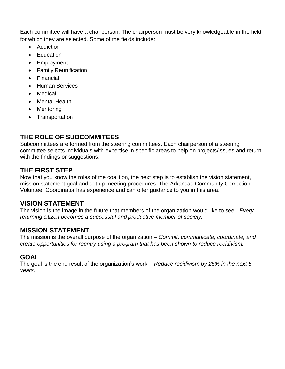Each committee will have a chairperson. The chairperson must be very knowledgeable in the field for which they are selected. Some of the fields include:

- Addiction
- **Education**
- Employment
- Family Reunification
- Financial
- Human Services
- Medical
- Mental Health
- Mentoring
- Transportation

## **THE ROLE OF SUBCOMMITEES**

Subcommittees are formed from the steering committees. Each chairperson of a steering committee selects individuals with expertise in specific areas to help on projects/issues and return with the findings or suggestions.

### **THE FIRST STEP**

Now that you know the roles of the coalition, the next step is to establish the vision statement, mission statement goal and set up meeting procedures. The Arkansas Community Correction Volunteer Coordinator has experience and can offer guidance to you in this area.

#### **VISION STATEMENT**

The vision is the image in the future that members of the organization would like to see - *Every returning citizen becomes a successful and productive member of society.*

#### **MISSION STATEMENT**

The mission is the overall purpose of the organization – *Commit, communicate, coordinate, and create opportunities for reentry using a program that has been shown to reduce recidivism.*

## **GOAL**

The goal is the end result of the organization's work – *Reduce recidivism by 25% in the next 5 years.*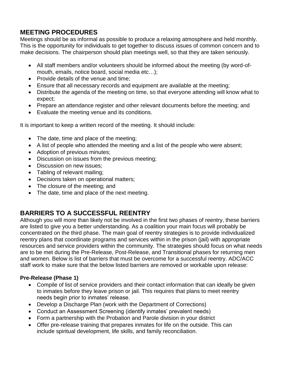# **MEETING PROCEDURES**

Meetings should be as informal as possible to produce a relaxing atmosphere and held monthly. This is the opportunity for individuals to get together to discuss issues of common concern and to make decisions. The chairperson should plan meetings well, so that they are taken seriously.

- All staff members and/or volunteers should be informed about the meeting (by word-ofmouth, emails, notice board, social media etc…);
- Provide details of the venue and time;
- Ensure that all necessary records and equipment are available at the meeting;
- Distribute the agenda of the meeting on time, so that everyone attending will know what to expect;
- Prepare an attendance register and other relevant documents before the meeting; and
- Evaluate the meeting venue and its conditions.

It is important to keep a written record of the meeting. It should include:

- The date, time and place of the meeting;
- A list of people who attended the meeting and a list of the people who were absent;
- Adoption of previous minutes;
- Discussion on issues from the previous meeting;
- Discussion on new issues;
- Tabling of relevant mailing;
- Decisions taken on operational matters;
- The closure of the meeting; and
- The date, time and place of the next meeting.

# **BARRIERS TO A SUCCESSFUL REENTRY**

Although you will more than likely not be involved in the first two phases of reentry, these barriers are listed to give you a better understanding. As a coalition your main focus will probably be concentrated on the third phase. The main goal of reentry strategies is to provide individualized reentry plans that coordinate programs and services within in the prison (jail) with appropriate resources and service providers within the community. The strategies should focus on what needs are to be met during the Pre-Release, Post-Release, and Transitional phases for returning men and women. Below is list of barriers that must be overcome for a successful reentry. ADC/ACC staff work to make sure that the below listed barriers are removed or workable upon release:

#### **Pre-Release (Phase 1)**

- Compile of list of service providers and their contact information that can ideally be given to inmates before they leave prison or jail. This requires that plans to meet reentry needs begin prior to inmates' release.
- Develop a Discharge Plan (work with the Department of Corrections)
- Conduct an Assessment Screening (identify inmates' prevalent needs)
- Form a partnership with the Probation and Parole division in your district
- Offer pre-release training that prepares inmates for life on the outside. This can include spiritual development, life skills, and family reconciliation.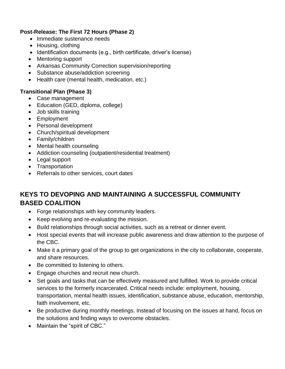#### **Post-Release: The First 72 Hours (Phase 2)**

- Immediate sustenance needs
- Housing, clothing
- Identification documents (e.g., birth certificate, driver's license)
- Mentoring support
- Arkansas Community Correction supervision/reporting
- Substance abuse/addiction screening
- Health care (mental health, medication, etc.)

#### **Transitional Plan (Phase 3)**

- Case management
- Education (GED, diploma, college)
- Job skills training
- Employment
- Personal development
- Church/spiritual development
- Family/children
- Mental health counseling
- Addiction counseling (outpatient/residential treatment)
- Legal support
- Transportation
- Referrals to other services, court dates

# **KEYS TO DEVOPING AND MAINTAINING A SUCCESSFUL COMMUNITY BASED COALITION**

- Forge relationships with key community leaders.
- Keep evolving and re-evaluating the mission.
- Build relationships through social activities, such as a retreat or dinner event.
- Host special events that will increase public awareness and draw attention to the purpose of the CBC.
- Make it a primary goal of the group to get organizations in the city to collaborate, cooperate, and share resources.
- Be committed to listening to others.
- Engage churches and recruit new church.
- Set goals and tasks that can be effectively measured and fulfilled. Work to provide critical services to the formerly incarcerated. Critical needs include: employment, housing, transportation, mental health issues, identification, substance abuse, education, mentorship, faith involvement, etc.
- Be productive during monthly meetings. Instead of focusing on the issues at hand, focus on the solutions and finding ways to overcome obstacles.
- Maintain the "spirit of CBC."